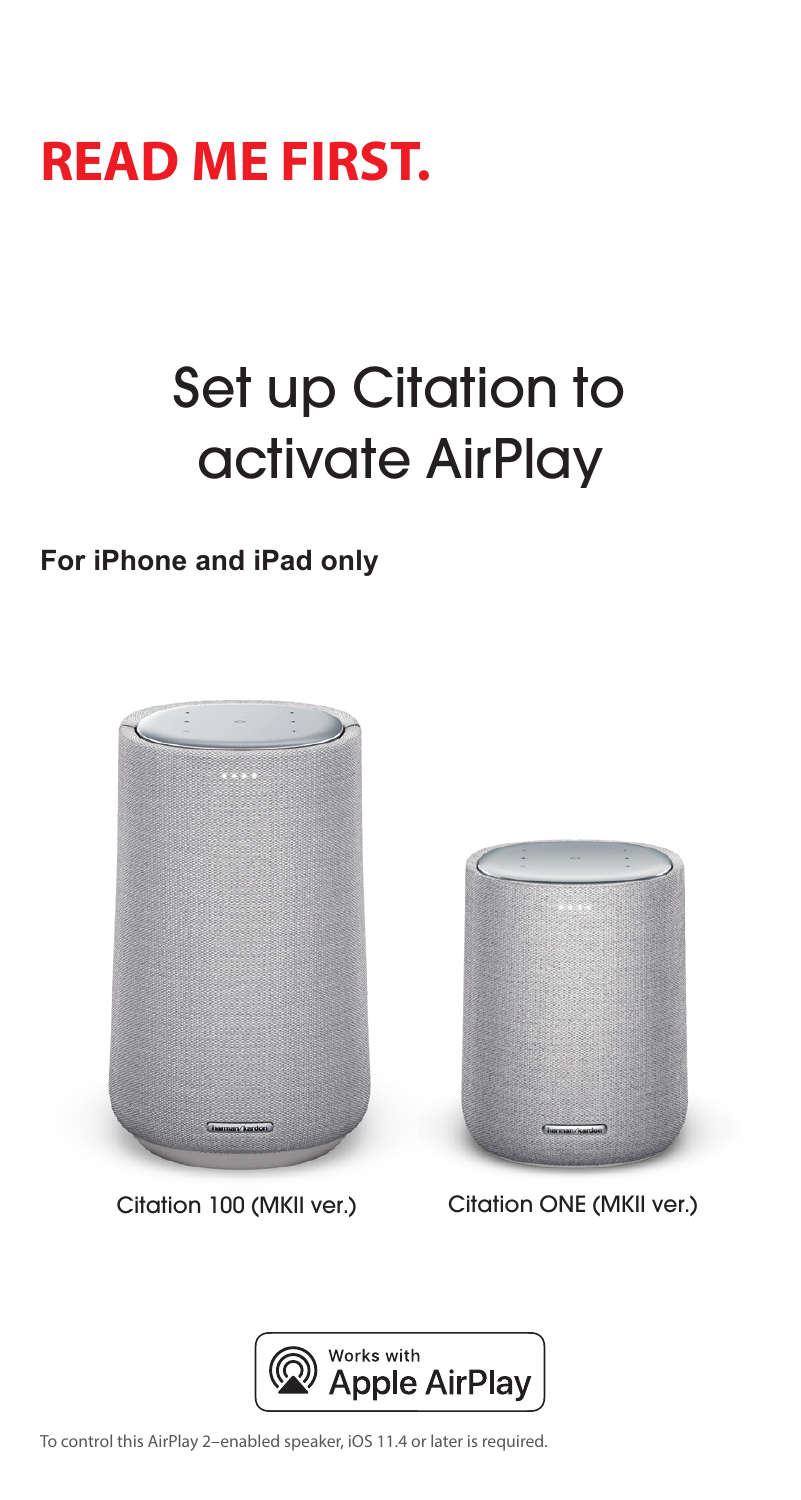## **READ ME FIRST.**

# Set up Citation to activate AirPlay

**For iPhone and iPad only** 





Citation 100 (MKII ver.) Citation ONE (MKII ver.)



To control this AirPlay 2–enabled speaker, iOS 11.4 or later is required.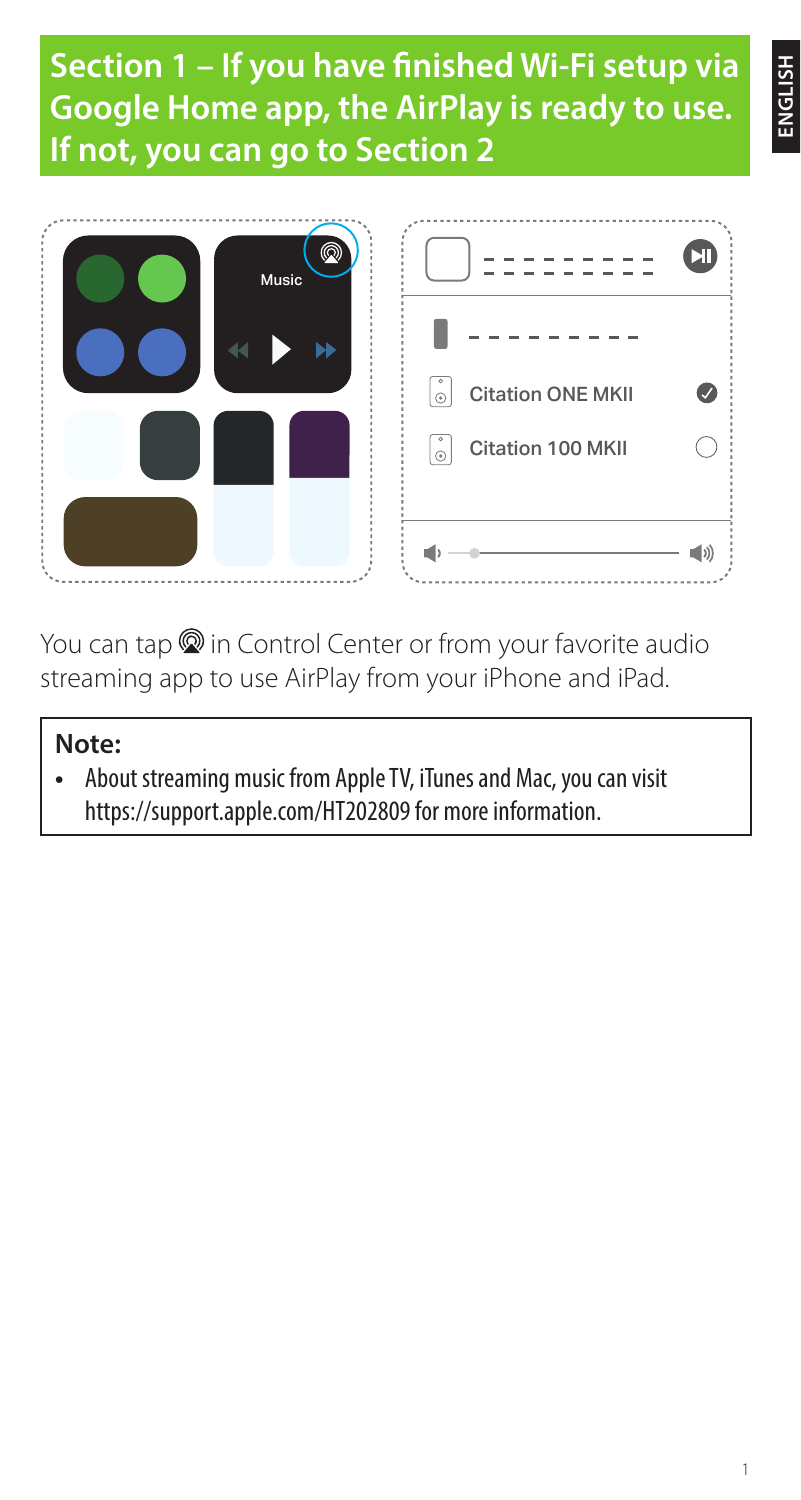**Section 1 – If you have finished Wi-Fi setup via Google Home app, the AirPlay is ready to use. If not, you can go to Section 2**



You can tap  $\circledR$  in Control Center or from your favorite audio streaming app to use AirPlay from your iPhone and iPad.

### **Note:**

**•** About streaming music from Apple TV, iTunes and Mac, you can visit https://support.apple.com/HT202809 for more information.

**ENGLISH**

E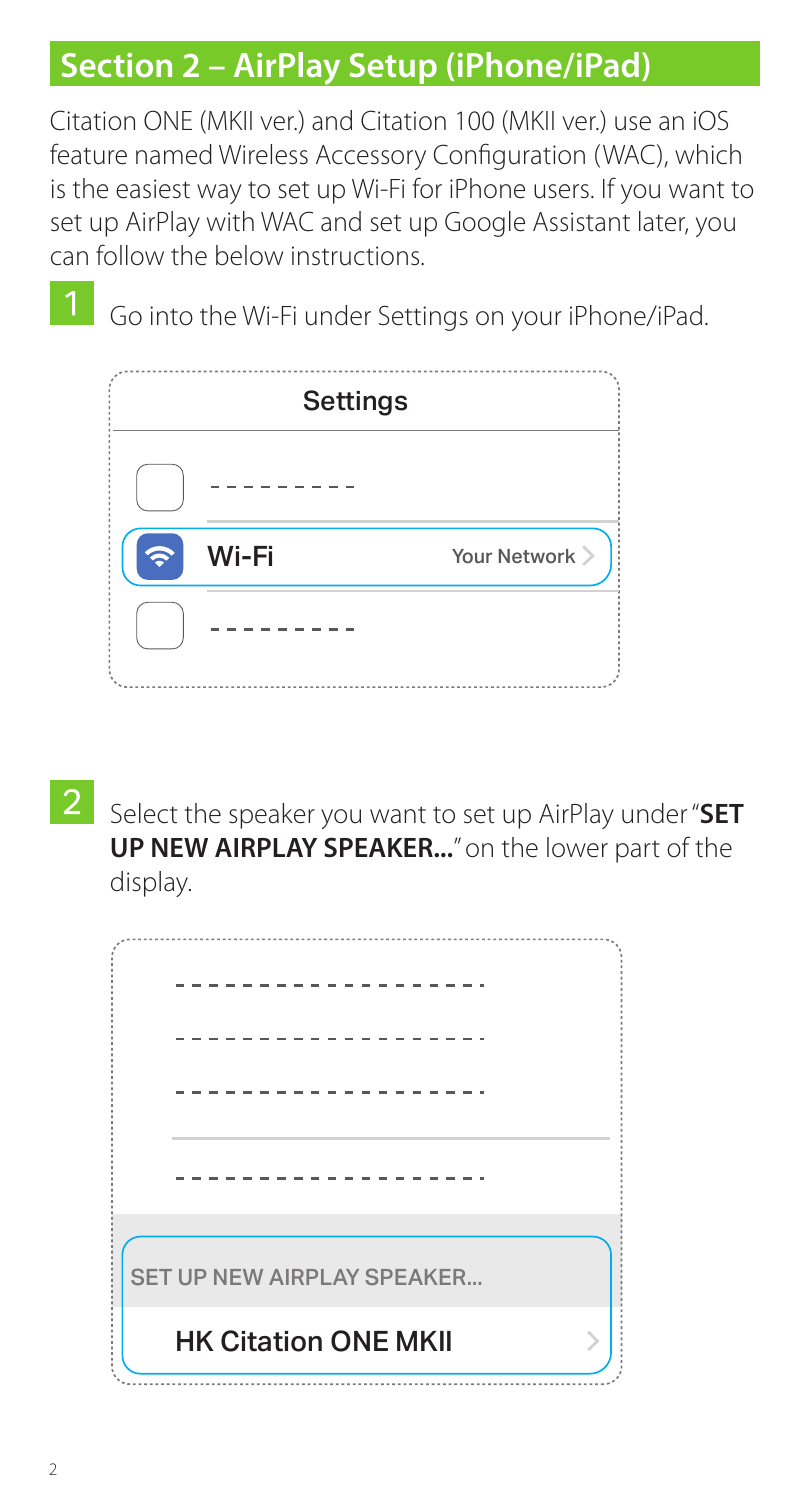## **Section 2 – AirPlay Setup (iPhone/iPad)**

Citation ONE (MKII ver.) and Citation 100 (MKII ver.) use an iOS feature named Wireless Accessory Configuration (WAC), which is the easiest way to set up Wi-Fi for iPhone users. If you want to set up AirPlay with WAC and set up Google Assistant later, you can follow the below instructions.

Go into the Wi-Fi under Settings on your iPhone/iPad.

|       | <b>Settings</b> |
|-------|-----------------|
|       |                 |
| Wi-Fi | Your Network >  |
|       |                 |
|       |                 |

Select the speaker you want to set up AirPlay under "**SET UP NEW AIRPLAY SPEAKER...**" on the lower part of the display.

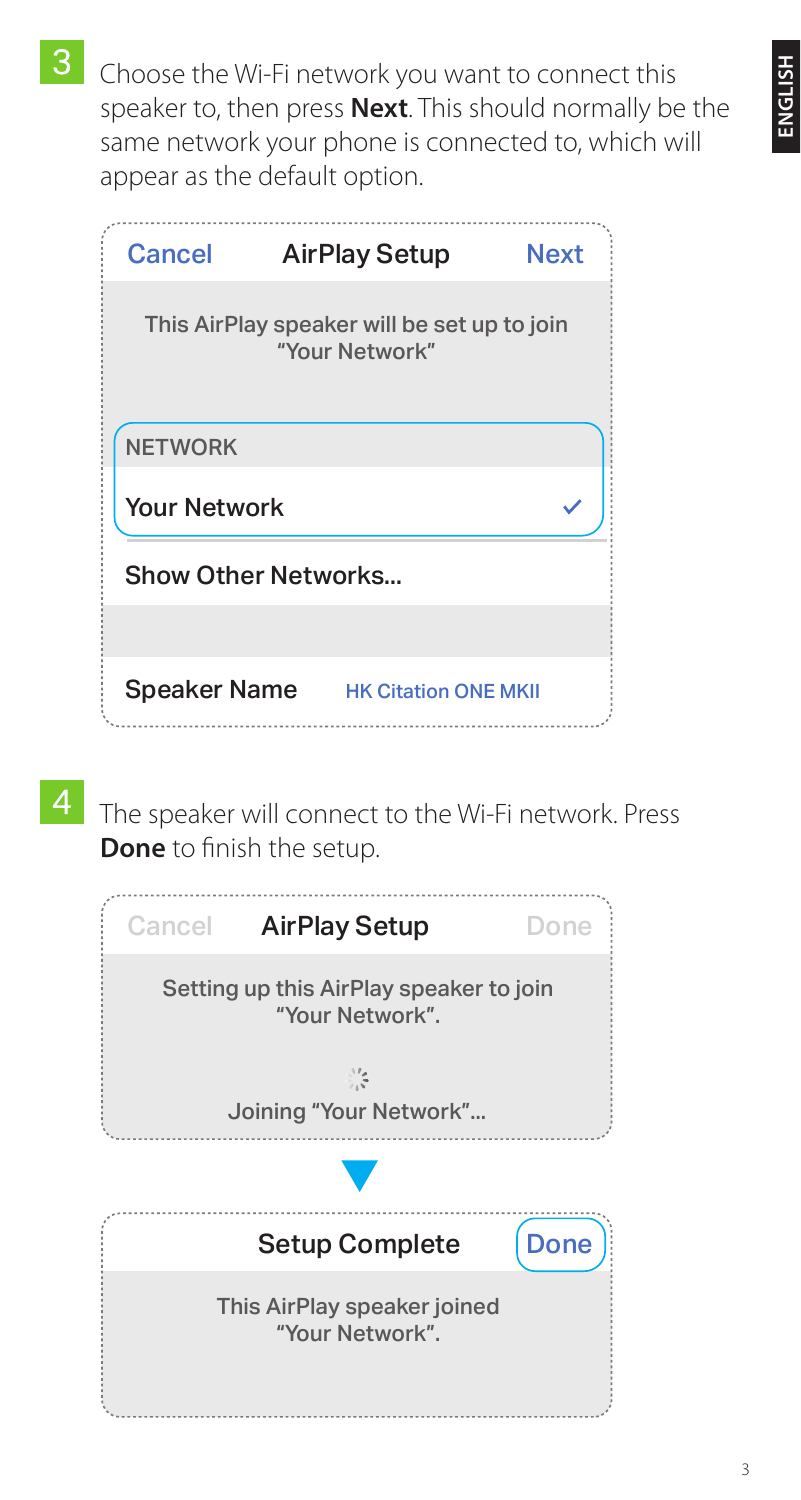Choose the Wi-Fi network you want to connect this speaker to, then press **Next**. This should normally be the same network your phone is connected to, which will appear as the default option.

| Cancel                                                        | <b>AirPlay Setup</b> | <b>Next</b> |  |  |  |
|---------------------------------------------------------------|----------------------|-------------|--|--|--|
| This AirPlay speaker will be set up to join<br>"Your Network" |                      |             |  |  |  |
| <b>NETWORK</b>                                                |                      |             |  |  |  |
| <b>Your Network</b>                                           |                      |             |  |  |  |
| Show Other Networks                                           |                      |             |  |  |  |
|                                                               |                      |             |  |  |  |
|                                                               |                      |             |  |  |  |

The speaker will connect to the Wi-Fi network. Press **Done** to finish the setup.

| <b>AirPlay Setup</b>                                       | Done        |
|------------------------------------------------------------|-------------|
| Setting up this AirPlay speaker to join<br>"Your Network". |             |
| X.<br>Joining "Your Network"                               |             |
|                                                            |             |
| <b>Setup Complete</b>                                      | <b>Done</b> |
|                                                            |             |
|                                                            |             |

3

**ENGLISH**